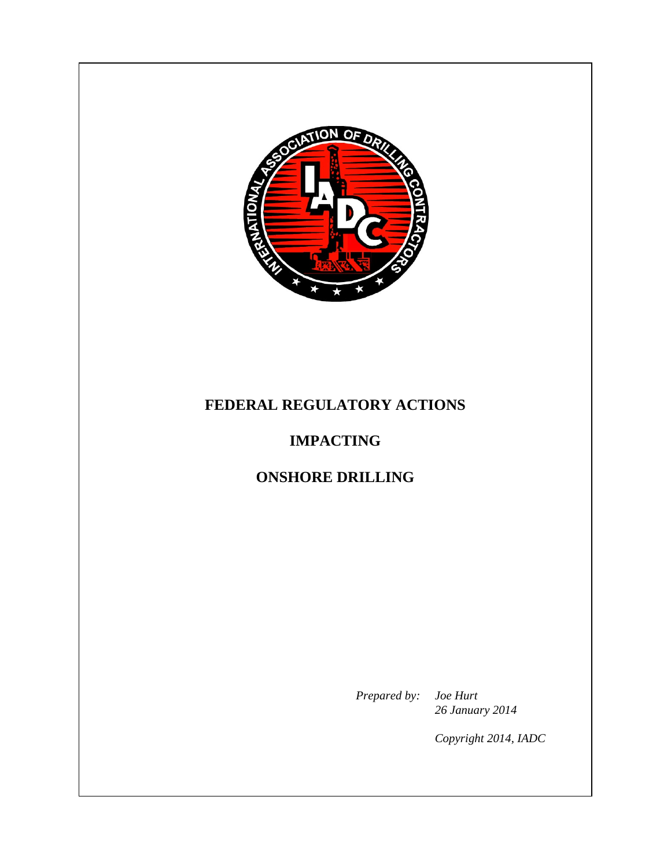

## **FEDERAL REGULATORY ACTIONS**

# **IMPACTING**

## **ONSHORE DRILLING**

*Prepared by: Joe Hurt 26 January 2014* 

*Copyright 2014, IADC*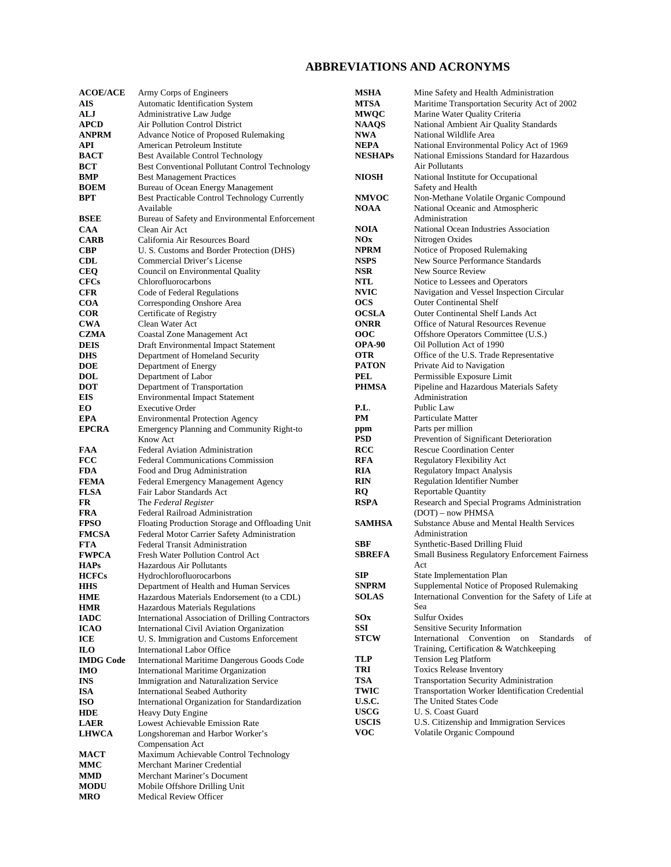#### **ABBREVIATIONS AND ACRONYMS**

| <b>ACOE/ACE</b>          | Army Corps of Engineers                                                       | <b>MSHA</b>        | Mine Safety and Health Administration                                                           |
|--------------------------|-------------------------------------------------------------------------------|--------------------|-------------------------------------------------------------------------------------------------|
| <b>AIS</b>               | Automatic Identification System                                               | <b>MTSA</b>        | Maritime Transportation Security Act of 2002                                                    |
| ALJ                      | Administrative Law Judge                                                      | <b>MWQC</b>        | Marine Water Quality Criteria                                                                   |
| <b>APCD</b>              | Air Pollution Control District                                                | <b>NAAQS</b>       | National Ambient Air Quality Standards                                                          |
| <b>ANPRM</b>             | Advance Notice of Proposed Rulemaking                                         | <b>NWA</b>         | National Wildlife Area                                                                          |
| API                      | American Petroleum Institute                                                  | <b>NEPA</b>        | National Environmental Policy Act of 1969                                                       |
| <b>BACT</b>              | Best Available Control Technology                                             | <b>NESHAPs</b>     | National Emissions Standard for Hazardous                                                       |
| BCT                      | <b>Best Conventional Pollutant Control Technology</b>                         |                    | Air Pollutants                                                                                  |
| BMP                      | <b>Best Management Practices</b>                                              | <b>NIOSH</b>       | National Institute for Occupational                                                             |
| <b>BOEM</b>              | Bureau of Ocean Energy Management                                             |                    | Safety and Health                                                                               |
| <b>BPT</b>               | Best Practicable Control Technology Currently                                 | <b>NMVOC</b>       | Non-Methane Volatile Organic Compound                                                           |
|                          | Available                                                                     | <b>NOAA</b>        | National Oceanic and Atmospheric                                                                |
| <b>BSEE</b>              | Bureau of Safety and Environmental Enforcement                                |                    | Administration                                                                                  |
| <b>CAA</b>               | Clean Air Act                                                                 | <b>NOIA</b>        | National Ocean Industries Association                                                           |
| <b>CARB</b>              | California Air Resources Board                                                | <b>NOx</b>         | Nitrogen Oxides                                                                                 |
| <b>CBP</b>               | U. S. Customs and Border Protection (DHS)                                     | <b>NPRM</b>        | Notice of Proposed Rulemaking                                                                   |
| <b>CDL</b>               | Commercial Driver's License                                                   | <b>NSPS</b>        | New Source Performance Standards                                                                |
| <b>CEQ</b>               | Council on Environmental Quality                                              | <b>NSR</b>         | New Source Review                                                                               |
| <b>CFCs</b>              | Chlorofluorocarbons                                                           | NTL<br><b>NVIC</b> | Notice to Lessees and Operators                                                                 |
| <b>CFR</b><br><b>COA</b> | Code of Federal Regulations<br>Corresponding Onshore Area                     | <b>OCS</b>         | Navigation and Vessel Inspection Circular<br><b>Outer Continental Shelf</b>                     |
| <b>COR</b>               | Certificate of Registry                                                       | <b>OCSLA</b>       | <b>Outer Continental Shelf Lands Act</b>                                                        |
| <b>CWA</b>               | Clean Water Act                                                               | <b>ONRR</b>        | Office of Natural Resources Revenue                                                             |
| <b>CZMA</b>              | Coastal Zone Management Act                                                   | ooc                | Offshore Operators Committee (U.S.)                                                             |
| <b>DEIS</b>              | Draft Environmental Impact Statement                                          | <b>OPA-90</b>      | Oil Pollution Act of 1990                                                                       |
| <b>DHS</b>               | Department of Homeland Security                                               | <b>OTR</b>         | Office of the U.S. Trade Representative                                                         |
| <b>DOE</b>               | Department of Energy                                                          | <b>PATON</b>       | Private Aid to Navigation                                                                       |
| <b>DOL</b>               | Department of Labor                                                           | <b>PEL</b>         | Permissible Exposure Limit                                                                      |
| <b>DOT</b>               | Department of Transportation                                                  | <b>PHMSA</b>       | Pipeline and Hazardous Materials Safety                                                         |
| EIS                      | <b>Environmental Impact Statement</b>                                         |                    | Administration                                                                                  |
| EO.                      | <b>Executive Order</b>                                                        | P.L.               | Public Law                                                                                      |
| <b>EPA</b>               | <b>Environmental Protection Agency</b>                                        | PM                 | Particulate Matter                                                                              |
| <b>EPCRA</b>             | Emergency Planning and Community Right-to                                     | ppm                | Parts per million                                                                               |
|                          | Know Act                                                                      | <b>PSD</b>         | Prevention of Significant Deterioration                                                         |
| FAA                      | <b>Federal Aviation Administration</b>                                        | <b>RCC</b>         | <b>Rescue Coordination Center</b>                                                               |
| <b>FCC</b>               | <b>Federal Communications Commission</b>                                      | <b>RFA</b>         | Regulatory Flexibility Act                                                                      |
| <b>FDA</b>               | Food and Drug Administration                                                  | RIA                | <b>Regulatory Impact Analysis</b>                                                               |
| <b>FEMA</b>              | Federal Emergency Management Agency                                           | <b>RIN</b>         | <b>Regulation Identifier Number</b>                                                             |
| <b>FLSA</b>              | Fair Labor Standards Act                                                      | <b>RQ</b>          | <b>Reportable Quantity</b>                                                                      |
| <b>FR</b>                | The Federal Register                                                          | <b>RSPA</b>        | Research and Special Programs Administration                                                    |
| <b>FRA</b>               | Federal Railroad Administration                                               |                    | (DOT) – now PHMSA                                                                               |
| <b>FPSO</b>              | Floating Production Storage and Offloading Unit                               | <b>SAMHSA</b>      | Substance Abuse and Mental Health Services                                                      |
| <b>FMCSA</b>             | Federal Motor Carrier Safety Administration                                   |                    | Administration                                                                                  |
| <b>FTA</b>               | <b>Federal Transit Administration</b>                                         | <b>SBF</b>         | Synthetic-Based Drilling Fluid                                                                  |
| <b>FWPCA</b>             | Fresh Water Pollution Control Act                                             | <b>SBREFA</b>      | Small Business Regulatory Enforcement Fairness                                                  |
| <b>HAPs</b>              | Hazardous Air Pollutants                                                      |                    | Act                                                                                             |
| <b>HCFCs</b>             | Hydrochlorofluorocarbons                                                      | <b>SIP</b>         | State Implementation Plan                                                                       |
| <b>HHS</b>               | Department of Health and Human Services                                       | <b>SNPRM</b>       | Supplemental Notice of Proposed Rulemaking                                                      |
| <b>HME</b>               | Hazardous Materials Endorsement (to a CDL)                                    | <b>SOLAS</b>       | International Convention for the Safety of Life at                                              |
| <b>HMR</b>               | Hazardous Materials Regulations                                               |                    | Sea                                                                                             |
| <b>IADC</b>              | International Association of Drilling Contractors                             | SOx                | Sulfur Oxides                                                                                   |
| <b>ICAO</b>              | International Civil Aviation Organization                                     | <b>SSI</b>         | Sensitive Security Information                                                                  |
| ICE                      | U. S. Immigration and Customs Enforcement                                     | <b>STCW</b>        | International Convention on<br><b>Standards</b><br>of<br>Training, Certification & Watchkeeping |
| <b>ILO</b>               | International Labor Office                                                    | TLP                | <b>Tension Leg Platform</b>                                                                     |
| <b>IMDG Code</b>         | International Maritime Dangerous Goods Code                                   | TRI                | <b>Toxics Release Inventory</b>                                                                 |
| <b>IMO</b><br><b>INS</b> | International Maritime Organization<br>Immigration and Naturalization Service | <b>TSA</b>         | Transportation Security Administration                                                          |
| <b>ISA</b>               | <b>International Seabed Authority</b>                                         | TWIC               | Transportation Worker Identification Credential                                                 |
| <b>ISO</b>               | International Organization for Standardization                                | <b>U.S.C.</b>      | The United States Code                                                                          |
| <b>HDE</b>               | Heavy Duty Engine                                                             | <b>USCG</b>        | U.S. Coast Guard                                                                                |
| <b>LAER</b>              | Lowest Achievable Emission Rate                                               | <b>USCIS</b>       | U.S. Citizenship and Immigration Services                                                       |
| <b>LHWCA</b>             | Longshoreman and Harbor Worker's                                              | <b>VOC</b>         | Volatile Organic Compound                                                                       |
|                          | Compensation Act                                                              |                    |                                                                                                 |
| <b>MACT</b>              | Maximum Achievable Control Technology                                         |                    |                                                                                                 |
| MMC                      | Merchant Mariner Credential                                                   |                    |                                                                                                 |
| <b>MMD</b>               | Merchant Mariner's Document                                                   |                    |                                                                                                 |
| <b>MODU</b>              | Mobile Offshore Drilling Unit                                                 |                    |                                                                                                 |
| <b>MRO</b>               | Medical Review Officer                                                        |                    |                                                                                                 |
|                          |                                                                               |                    |                                                                                                 |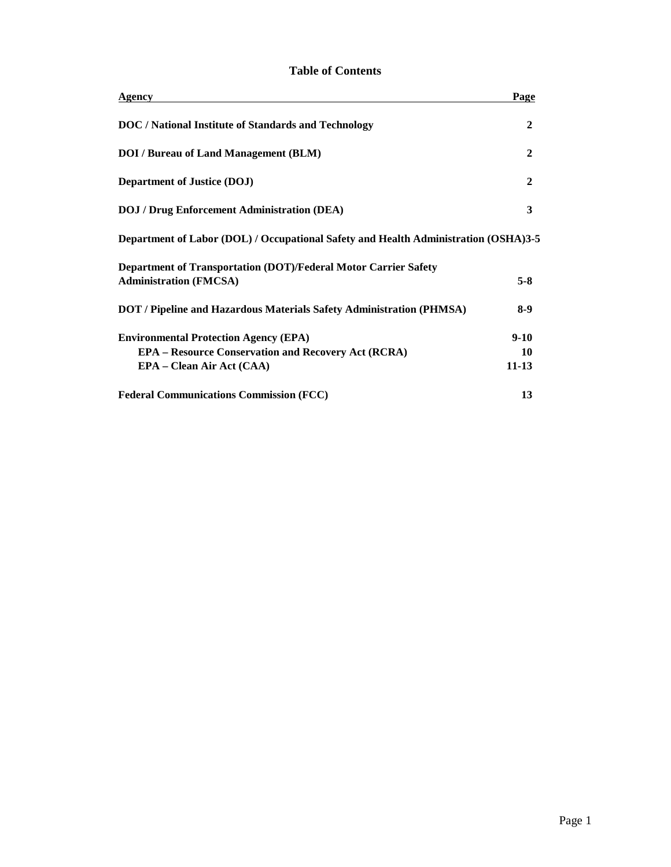| Agency                                                                                                                                  | Page                        |
|-----------------------------------------------------------------------------------------------------------------------------------------|-----------------------------|
| DOC / National Institute of Standards and Technology                                                                                    | 2                           |
| <b>DOI</b> / Bureau of Land Management (BLM)                                                                                            | 2                           |
| <b>Department of Justice (DOJ)</b>                                                                                                      | 2                           |
| <b>DOJ</b> / Drug Enforcement Administration (DEA)                                                                                      | 3                           |
| Department of Labor (DOL) / Occupational Safety and Health Administration (OSHA)3-5                                                     |                             |
| Department of Transportation (DOT)/Federal Motor Carrier Safety<br><b>Administration (FMCSA)</b>                                        | $5-8$                       |
| <b>DOT</b> / Pipeline and Hazardous Materials Safety Administration (PHMSA)                                                             | $8-9$                       |
| <b>Environmental Protection Agency (EPA)</b><br><b>EPA – Resource Conservation and Recovery Act (RCRA)</b><br>EPA – Clean Air Act (CAA) | $9 - 10$<br>10<br>$11 - 13$ |
| <b>Federal Communications Commission (FCC)</b>                                                                                          | 13                          |

#### **Table of Contents**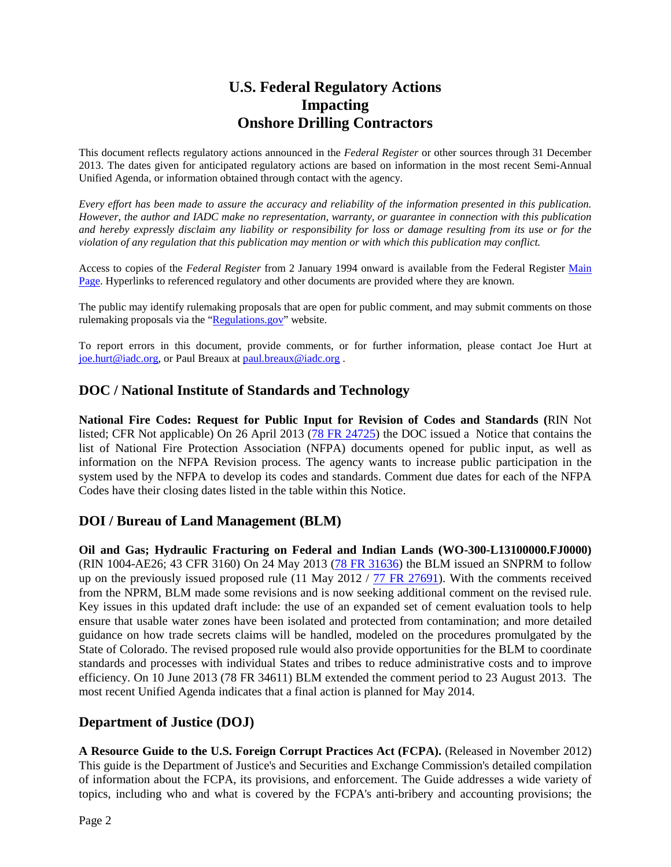## **U.S. Federal Regulatory Actions Impacting Onshore Drilling Contractors**

This document reflects regulatory actions announced in the *Federal Register* or other sources through 31 December 2013. The dates given for anticipated regulatory actions are based on information in the most recent Semi-Annual Unified Agenda, or information obtained through contact with the agency.

*Every effort has been made to assure the accuracy and reliability of the information presented in this publication. However, the author and IADC make no representation, warranty, or guarantee in connection with this publication and hereby expressly disclaim any liability or responsibility for loss or damage resulting from its use or for the violation of any regulation that this publication may mention or with which this publication may conflict.*

Access to copies of the *Federal Register* from 2 January 1994 onward is available from the Federal Register [Main](http://www.gpoaccess.gov/fr/index.html)  [Page.](http://www.gpoaccess.gov/fr/index.html) Hyperlinks to referenced regulatory and other documents are provided where they are known.

The public may identify rulemaking proposals that are open for public comment, and may submit comments on those rulemaking proposals via the ["Regulations.gov"](http://www.regulations.gov/) website.

To report errors in this document, provide comments, or for further information, please contact Joe Hurt at [joe.hurt@iadc.org,](mailto:joe.hurt@iadc.org) or Paul Breaux a[t paul.breaux@iadc.org](mailto:paul.breaux@iadc.org) .

#### **DOC / National Institute of Standards and Technology**

**National Fire Codes: Request for Public Input for Revision of Codes and Standards (**RIN Not listed; CFR Not applicable) On 26 April 2013 [\(78 FR 24725\)](http://www.gpo.gov/fdsys/pkg/FR-2013-04-26/pdf/2013-09938.pdf) the DOC issued a Notice that contains the list of National Fire Protection Association (NFPA) documents opened for public input, as well as information on the NFPA Revision process. The agency wants to increase public participation in the system used by the NFPA to develop its codes and standards. Comment due dates for each of the NFPA Codes have their closing dates listed in the table within this Notice.

#### **DOI / Bureau of Land Management (BLM)**

**Oil and Gas; Hydraulic Fracturing on Federal and Indian Lands (WO-300-L13100000.FJ0000)** (RIN 1004-AE26; 43 CFR 3160) On 24 May 2013 [\(78 FR 3163](http://www.gpo.gov/fdsys/pkg/FR-2013-05-24/pdf/2013-12154.pdf)6) the BLM issued an SNPRM to follow up on the previously issued proposed rule (11 May 2012 /  $\frac{77 \text{ FR}}{27691}$ ). With the comments received from the NPRM, BLM made some revisions and is now seeking additional comment on the revised rule. Key issues in this updated draft include: the use of an expanded set of cement evaluation tools to help ensure that usable water zones have been isolated and protected from contamination; and more detailed guidance on how trade secrets claims will be handled, modeled on the procedures promulgated by the State of Colorado. The revised proposed rule would also provide opportunities for the BLM to coordinate standards and processes with individual States and tribes to reduce administrative costs and to improve efficiency. On 10 June 2013 (78 FR 34611) BLM extended the comment period to 23 August 2013. The most recent Unified Agenda indicates that a final action is planned for May 2014.

#### **Department of Justice (DOJ)**

**A Resource Guide to the U.S. Foreign Corrupt Practices Act (FCPA).** (Released in November 2012) This guide is the Department of Justice's and Securities and Exchange Commission's detailed compilation of information about the FCPA, its provisions, and enforcement. The Guide addresses a wide variety of topics, including who and what is covered by the FCPA's anti-bribery and accounting provisions; the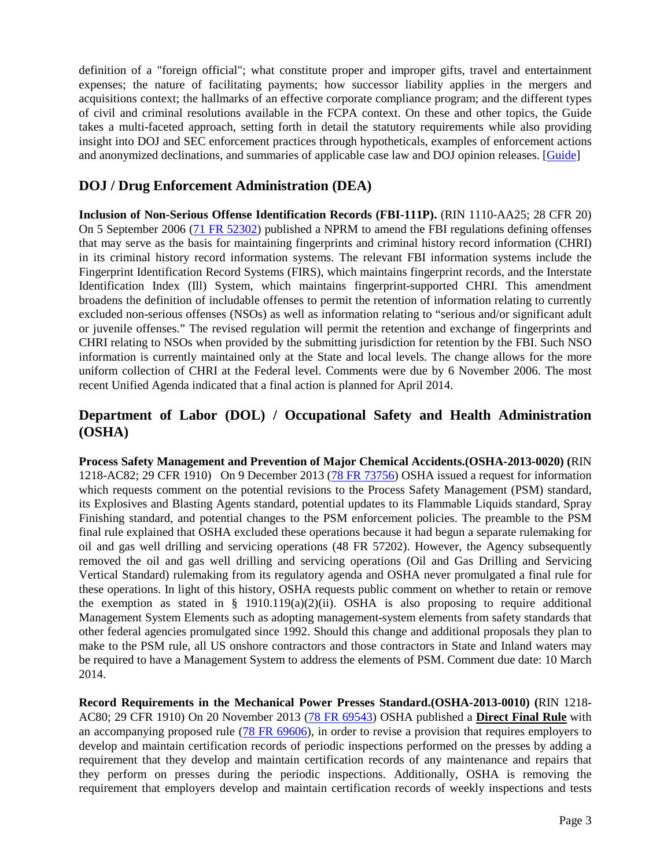definition of a "foreign official"; what constitute proper and improper gifts, travel and entertainment expenses; the nature of facilitating payments; how successor liability applies in the mergers and acquisitions context; the hallmarks of an effective corporate compliance program; and the different types of civil and criminal resolutions available in the FCPA context. On these and other topics, the Guide takes a multi-faceted approach, setting forth in detail the statutory requirements while also providing insight into DOJ and SEC enforcement practices through hypotheticals, examples of enforcement actions and anonymized declinations, and summaries of applicable case law and DOJ opinion releases. [\[Guide\]](http://www.justice.gov/criminal/fraud/fcpa/guidance/)

#### **DOJ / Drug Enforcement Administration (DEA)**

**Inclusion of Non-Serious Offense Identification Records (FBI-111P).** (RIN 1110-AA25; 28 CFR 20) On 5 September 2006 [\(71 FR 52302\)](http://edocket.access.gpo.gov/2006/pdf/E6-14605.pdf) published a NPRM to amend the FBI regulations defining offenses that may serve as the basis for maintaining fingerprints and criminal history record information (CHRI) in its criminal history record information systems. The relevant FBI information systems include the Fingerprint Identification Record Systems (FIRS), which maintains fingerprint records, and the Interstate Identification Index (Ill) System, which maintains fingerprint-supported CHRI. This amendment broadens the definition of includable offenses to permit the retention of information relating to currently excluded non-serious offenses (NSOs) as well as information relating to "serious and/or significant adult or juvenile offenses." The revised regulation will permit the retention and exchange of fingerprints and CHRI relating to NSOs when provided by the submitting jurisdiction for retention by the FBI. Such NSO information is currently maintained only at the State and local levels. The change allows for the more uniform collection of CHRI at the Federal level. Comments were due by 6 November 2006. The most recent Unified Agenda indicated that a final action is planned for April 2014.

#### **Department of Labor (DOL) / Occupational Safety and Health Administration (OSHA)**

**Process Safety Management and Prevention of Major Chemical Accidents.(OSHA-2013-0020) (**RIN 1218-AC82; 29 CFR 1910) On 9 December 2013 [\(78 FR 73756\)](http://www.gpo.gov/fdsys/pkg/FR-2013-12-09/pdf/2013-29197.pdf) OSHA issued a request for information which requests comment on the potential revisions to the Process Safety Management (PSM) standard, its Explosives and Blasting Agents standard, potential updates to its Flammable Liquids standard, Spray Finishing standard, and potential changes to the PSM enforcement policies. The preamble to the PSM final rule explained that OSHA excluded these operations because it had begun a separate rulemaking for oil and gas well drilling and servicing operations (48 FR 57202). However, the Agency subsequently removed the oil and gas well drilling and servicing operations (Oil and Gas Drilling and Servicing Vertical Standard) rulemaking from its regulatory agenda and OSHA never promulgated a final rule for these operations. In light of this history, OSHA requests public comment on whether to retain or remove the exemption as stated in § 1910.119(a)(2)(ii). OSHA is also proposing to require additional Management System Elements such as adopting management-system elements from safety standards that other federal agencies promulgated since 1992. Should this change and additional proposals they plan to make to the PSM rule, all US onshore contractors and those contractors in State and Inland waters may be required to have a Management System to address the elements of PSM. Comment due date: 10 March 2014.

**Record Requirements in the Mechanical Power Presses Standard.(OSHA-2013-0010) (**RIN 1218- AC80; 29 CFR 1910) On 20 November 2013 [\(78 FR 69543\)](http://www.gpo.gov/fdsys/pkg/FR-2013-11-20/pdf/2013-27695.pdf) OSHA published a **Direct Final Rule** with an accompanying proposed rule [\(78 FR 69606\)](http://www.gpo.gov/fdsys/pkg/FR-2013-11-20/pdf/2013-27694.pdf), in order to revise a provision that requires employers to develop and maintain certification records of periodic inspections performed on the presses by adding a requirement that they develop and maintain certification records of any maintenance and repairs that they perform on presses during the periodic inspections. Additionally, OSHA is removing the requirement that employers develop and maintain certification records of weekly inspections and tests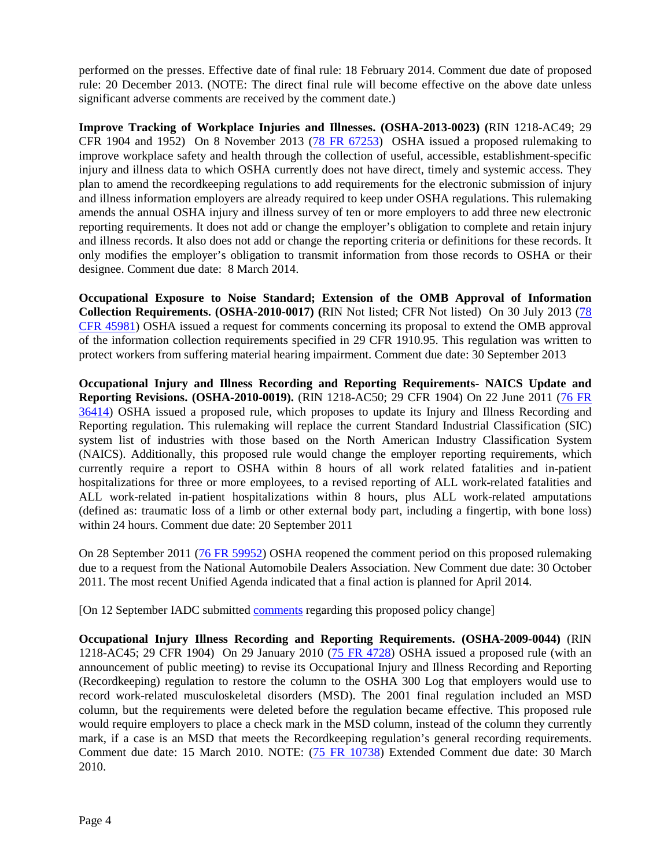performed on the presses. Effective date of final rule: 18 February 2014. Comment due date of proposed rule: 20 December 2013. (NOTE: The direct final rule will become effective on the above date unless significant adverse comments are received by the comment date.)

**Improve Tracking of Workplace Injuries and Illnesses. (OSHA-2013-0023) (**RIN 1218-AC49; 29 CFR 1904 and 1952) On 8 November 2013 [\(78 FR 67253\)](http://www.gpo.gov/fdsys/pkg/FR-2013-11-08/pdf/2013-26711.pdf) OSHA issued a proposed rulemaking to improve workplace safety and health through the collection of useful, accessible, establishment-specific injury and illness data to which OSHA currently does not have direct, timely and systemic access. They plan to amend the recordkeeping regulations to add requirements for the electronic submission of injury and illness information employers are already required to keep under OSHA regulations. This rulemaking amends the annual OSHA injury and illness survey of ten or more employers to add three new electronic reporting requirements. It does not add or change the employer's obligation to complete and retain injury and illness records. It also does not add or change the reporting criteria or definitions for these records. It only modifies the employer's obligation to transmit information from those records to OSHA or their designee. Comment due date: 8 March 2014.

**Occupational Exposure to Noise Standard; Extension of the OMB Approval of Information Collection Requirements. (OSHA-2010-0017) (**RIN Not listed; CFR Not listed) On 30 July 2013 [\(78](http://www.gpo.gov/fdsys/pkg/FR-2013-07-30/pdf/2013-18280.pdf)  [CFR 45981\)](http://www.gpo.gov/fdsys/pkg/FR-2013-07-30/pdf/2013-18280.pdf) OSHA issued a request for comments concerning its proposal to extend the OMB approval of the information collection requirements specified in 29 CFR 1910.95. This regulation was written to protect workers from suffering material hearing impairment. Comment due date: 30 September 2013

**Occupational Injury and Illness Recording and Reporting Requirements- NAICS Update and Reporting Revisions. (OSHA-2010-0019).** (RIN 1218-AC50; 29 CFR 1904) On 22 June 2011 [\(76 FR](http://www.gpo.gov/fdsys/pkg/FR-2011-06-22/pdf/2011-15277.pdf)  [36414\)](http://www.gpo.gov/fdsys/pkg/FR-2011-06-22/pdf/2011-15277.pdf) OSHA issued a proposed rule, which proposes to update its Injury and Illness Recording and Reporting regulation. This rulemaking will replace the current Standard Industrial Classification (SIC) system list of industries with those based on the North American Industry Classification System (NAICS). Additionally, this proposed rule would change the employer reporting requirements, which currently require a report to OSHA within 8 hours of all work related fatalities and in-patient hospitalizations for three or more employees, to a revised reporting of ALL work-related fatalities and ALL work-related in-patient hospitalizations within 8 hours, plus ALL work-related amputations (defined as: traumatic loss of a limb or other external body part, including a fingertip, with bone loss) within 24 hours. Comment due date: 20 September 2011

On 28 September 2011 [\(76 FR 59952\)](http://www.gpo.gov/fdsys/pkg/FR-2011-09-28/pdf/2011-24779.pdf) OSHA reopened the comment period on this proposed rulemaking due to a request from the National Automobile Dealers Association. New Comment due date: 30 October 2011. The most recent Unified Agenda indicated that a final action is planned for April 2014.

[On 12 September IADC submitted [comments](http://www.iadc.org/committees/offshore/index.html) regarding this proposed policy change]

**Occupational Injury Illness Recording and Reporting Requirements. (OSHA-2009-0044)** (RIN 1218-AC45; 29 CFR 1904) On 29 January 2010 [\(75 FR 4728\)](http://edocket.access.gpo.gov/2010/pdf/2010-2010.pdf) OSHA issued a proposed rule (with an announcement of public meeting) to revise its Occupational Injury and Illness Recording and Reporting (Recordkeeping) regulation to restore the column to the OSHA 300 Log that employers would use to record work-related musculoskeletal disorders (MSD). The 2001 final regulation included an MSD column, but the requirements were deleted before the regulation became effective. This proposed rule would require employers to place a check mark in the MSD column, instead of the column they currently mark, if a case is an MSD that meets the Recordkeeping regulation's general recording requirements. Comment due date: 15 March 2010. NOTE: [\(75 FR 10738\)](http://edocket.access.gpo.gov/2010/pdf/2010-4988.pdf) Extended Comment due date: 30 March 2010.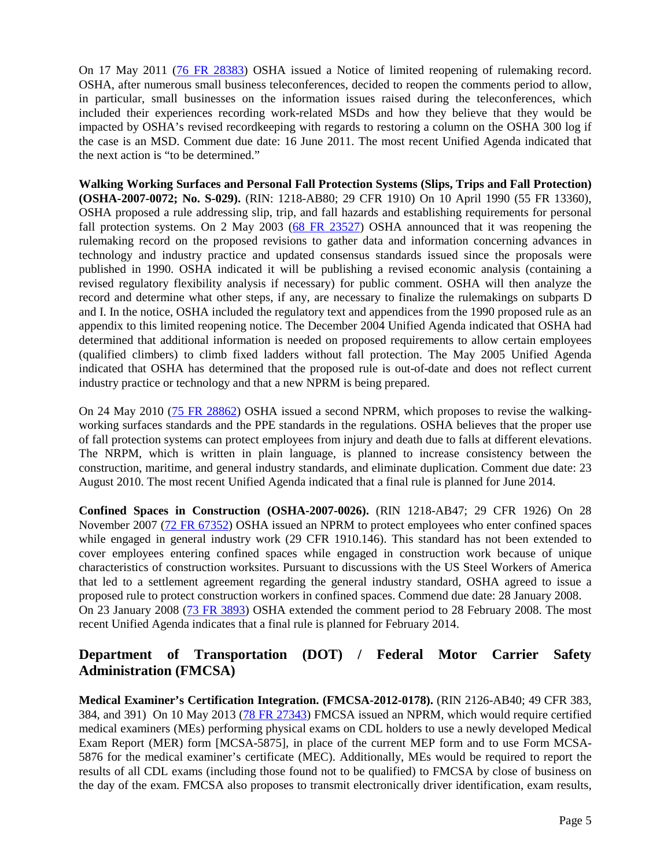On 17 May 2011 [\(76 FR 28383\)](http://www.gpo.gov/fdsys/pkg/FR-2011-05-17/pdf/2011-11965.pdf) OSHA issued a Notice of limited reopening of rulemaking record. OSHA, after numerous small business teleconferences, decided to reopen the comments period to allow, in particular, small businesses on the information issues raised during the teleconferences, which included their experiences recording work-related MSDs and how they believe that they would be impacted by OSHA's revised recordkeeping with regards to restoring a column on the OSHA 300 log if the case is an MSD. Comment due date: 16 June 2011. The most recent Unified Agenda indicated that the next action is "to be determined."

**Walking Working Surfaces and Personal Fall Protection Systems (Slips, Trips and Fall Protection) (OSHA-2007-0072; No. S-029).** (RIN: 1218-AB80; 29 CFR 1910) On 10 April 1990 (55 FR 13360), OSHA proposed a rule addressing slip, trip, and fall hazards and establishing requirements for personal fall protection systems. On 2 May 2003 [\(68 FR](http://edocket.access.gpo.gov/2003/pdf/03-10617.pdf) 23527) OSHA announced that it was reopening the rulemaking record on the proposed revisions to gather data and information concerning advances in technology and industry practice and updated consensus standards issued since the proposals were published in 1990. OSHA indicated it will be publishing a revised economic analysis (containing a revised regulatory flexibility analysis if necessary) for public comment. OSHA will then analyze the record and determine what other steps, if any, are necessary to finalize the rulemakings on subparts D and I. In the notice, OSHA included the regulatory text and appendices from the 1990 proposed rule as an appendix to this limited reopening notice. The December 2004 Unified Agenda indicated that OSHA had determined that additional information is needed on proposed requirements to allow certain employees (qualified climbers) to climb fixed ladders without fall protection. The May 2005 Unified Agenda indicated that OSHA has determined that the proposed rule is out-of-date and does not reflect current industry practice or technology and that a new NPRM is being prepared.

On 24 May 2010 [\(75 FR 28862\)](http://edocket.access.gpo.gov/2010/pdf/2010-10418.pdf) OSHA issued a second NPRM, which proposes to revise the walkingworking surfaces standards and the PPE standards in the regulations. OSHA believes that the proper use of fall protection systems can protect employees from injury and death due to falls at different elevations. The NRPM, which is written in plain language, is planned to increase consistency between the construction, maritime, and general industry standards, and eliminate duplication. Comment due date: 23 August 2010. The most recent Unified Agenda indicated that a final rule is planned for June 2014.

**Confined Spaces in Construction (OSHA-2007-0026).** (RIN 1218-AB47; 29 CFR 1926) On 28 November 2007 [\(72 FR 67352\)](http://www.gpo.gov/fdsys/pkg/FR-2007-11-28/pdf/E7-21893.pdf) OSHA issued an NPRM to protect employees who enter confined spaces while engaged in general industry work (29 CFR 1910.146). This standard has not been extended to cover employees entering confined spaces while engaged in construction work because of unique characteristics of construction worksites. Pursuant to discussions with the US Steel Workers of America that led to a settlement agreement regarding the general industry standard, OSHA agreed to issue a proposed rule to protect construction workers in confined spaces. Commend due date: 28 January 2008. On 23 January 2008 [\(73 FR 3893\)](http://www.gpo.gov/fdsys/pkg/FR-2008-01-23/pdf/E8-1081.pdf) OSHA extended the comment period to 28 February 2008. The most recent Unified Agenda indicates that a final rule is planned for February 2014.

### **Department of Transportation (DOT) / Federal Motor Carrier Safety Administration (FMCSA)**

**Medical Examiner's Certification Integration. (FMCSA-2012-0178).** (RIN 2126-AB40; 49 CFR 383, 384, and 391) On 10 May 2013 [\(78 FR 27343\)](http://www.gpo.gov/fdsys/pkg/FR-2013-05-10/pdf/2013-11080.pdf) FMCSA issued an NPRM, which would require certified medical examiners (MEs) performing physical exams on CDL holders to use a newly developed Medical Exam Report (MER) form [MCSA-5875], in place of the current MEP form and to use Form MCSA-5876 for the medical examiner's certificate (MEC). Additionally, MEs would be required to report the results of all CDL exams (including those found not to be qualified) to FMCSA by close of business on the day of the exam. FMCSA also proposes to transmit electronically driver identification, exam results,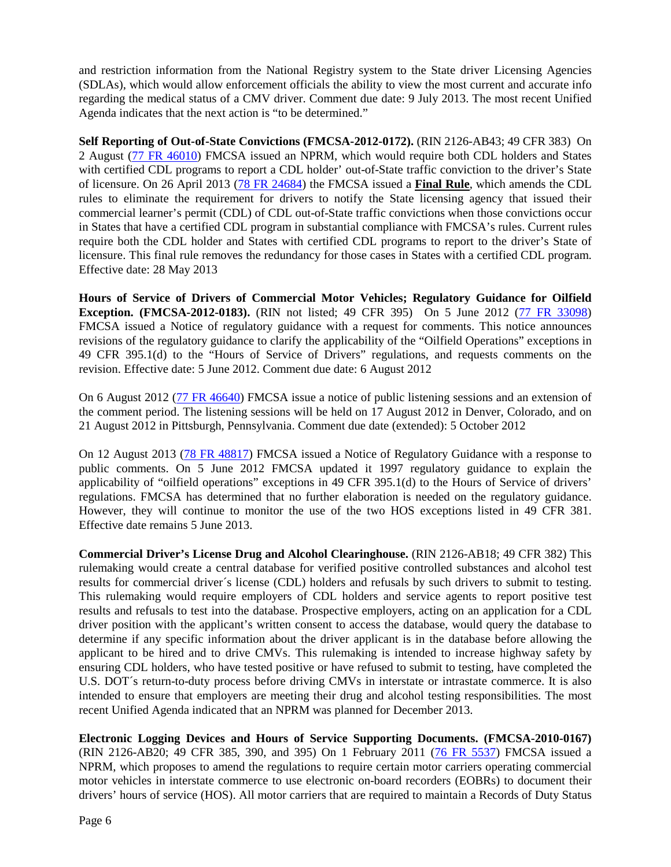and restriction information from the National Registry system to the State driver Licensing Agencies (SDLAs), which would allow enforcement officials the ability to view the most current and accurate info regarding the medical status of a CMV driver. Comment due date: 9 July 2013. The most recent Unified Agenda indicates that the next action is "to be determined."

**Self Reporting of Out-of-State Convictions (FMCSA-2012-0172).** (RIN 2126-AB43; 49 CFR 383) On 2 August [\(77 FR 46010\)](http://www.gpo.gov/fdsys/pkg/FR-2012-08-02/pdf/2012-18902.pdf) FMCSA issued an NPRM, which would require both CDL holders and States with certified CDL programs to report a CDL holder' out-of-State traffic conviction to the driver's State of licensure. On 26 April 2013 [\(78 FR 24684\)](http://www.gpo.gov/fdsys/pkg/FR-2013-04-26/pdf/2013-09915.pdf) the FMCSA issued a **Final Rule**, which amends the CDL rules to eliminate the requirement for drivers to notify the State licensing agency that issued their commercial learner's permit (CDL) of CDL out-of-State traffic convictions when those convictions occur in States that have a certified CDL program in substantial compliance with FMCSA's rules. Current rules require both the CDL holder and States with certified CDL programs to report to the driver's State of licensure. This final rule removes the redundancy for those cases in States with a certified CDL program. Effective date: 28 May 2013

**Hours of Service of Drivers of Commercial Motor Vehicles; Regulatory Guidance for Oilfield Exception.** (FMCSA-2012-0183). (RIN not listed; 49 CFR 395) On 5 June 2012 [\(77 FR 33098\)](http://www.gpo.gov/fdsys/pkg/FR-2012-06-05/pdf/2012-13584.pdf) FMCSA issued a Notice of regulatory guidance with a request for comments. This notice announces revisions of the regulatory guidance to clarify the applicability of the "Oilfield Operations" exceptions in 49 CFR 395.1(d) to the "Hours of Service of Drivers" regulations, and requests comments on the revision. Effective date: 5 June 2012. Comment due date: 6 August 2012

On 6 August 2012 [\(77 FR 46640\)](http://www.gpo.gov/fdsys/pkg/FR-2012-08-06/pdf/2012-19303.pdf) FMCSA issue a notice of public listening sessions and an extension of the comment period. The listening sessions will be held on 17 August 2012 in Denver, Colorado, and on 21 August 2012 in Pittsburgh, Pennsylvania. Comment due date (extended): 5 October 2012

On 12 August 2013 [\(78 FR 48817\)](http://www.gpo.gov/fdsys/pkg/FR-2013-08-12/pdf/2013-19402.pdf) FMCSA issued a Notice of Regulatory Guidance with a response to public comments. On 5 June 2012 FMCSA updated it 1997 regulatory guidance to explain the applicability of "oilfield operations" exceptions in 49 CFR 395.1(d) to the Hours of Service of drivers' regulations. FMCSA has determined that no further elaboration is needed on the regulatory guidance. However, they will continue to monitor the use of the two HOS exceptions listed in 49 CFR 381. Effective date remains 5 June 2013.

**Commercial Driver's License Drug and Alcohol Clearinghouse.** (RIN 2126-AB18; 49 CFR 382) This rulemaking would create a central database for verified positive controlled substances and alcohol test results for commercial driver´s license (CDL) holders and refusals by such drivers to submit to testing. This rulemaking would require employers of CDL holders and service agents to report positive test results and refusals to test into the database. Prospective employers, acting on an application for a CDL driver position with the applicant's written consent to access the database, would query the database to determine if any specific information about the driver applicant is in the database before allowing the applicant to be hired and to drive CMVs. This rulemaking is intended to increase highway safety by ensuring CDL holders, who have tested positive or have refused to submit to testing, have completed the U.S. DOT's return-to-duty process before driving CMVs in interstate or intrastate commerce. It is also intended to ensure that employers are meeting their drug and alcohol testing responsibilities. The most recent Unified Agenda indicated that an NPRM was planned for December 2013.

**Electronic Logging Devices and Hours of Service Supporting Documents. (FMCSA-2010-0167)**  (RIN 2126-AB20; 49 CFR 385, 390, and 395) On 1 February 2011 [\(76 FR 5537\)](http://edocket.access.gpo.gov/2011/pdf/2011-2093.pdf) FMCSA issued a NPRM, which proposes to amend the regulations to require certain motor carriers operating commercial motor vehicles in interstate commerce to use electronic on-board recorders (EOBRs) to document their drivers' hours of service (HOS). All motor carriers that are required to maintain a Records of Duty Status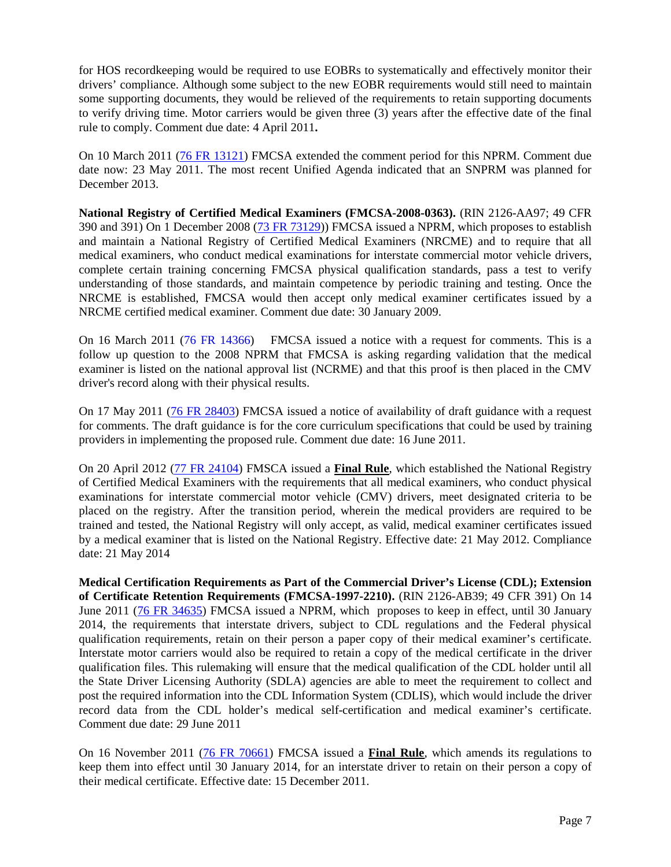for HOS recordkeeping would be required to use EOBRs to systematically and effectively monitor their drivers' compliance. Although some subject to the new EOBR requirements would still need to maintain some supporting documents, they would be relieved of the requirements to retain supporting documents to verify driving time. Motor carriers would be given three (3) years after the effective date of the final rule to comply. Comment due date: 4 April 2011**.** 

On 10 March 2011 [\(76 FR 13121\)](http://edocket.access.gpo.gov/2011/pdf/2011-5421.pdf) FMCSA extended the comment period for this NPRM. Comment due date now: 23 May 2011. The most recent Unified Agenda indicated that an SNPRM was planned for December 2013.

**National Registry of Certified Medical Examiners (FMCSA-2008-0363).** (RIN 2126-AA97; 49 CFR 390 and 391) On 1 December 2008 [\(73 FR 73129\)](http://edocket.access.gpo.gov/2008/pdf/E8-28172.pdf)) FMCSA issued a NPRM, which proposes to establish and maintain a National Registry of Certified Medical Examiners (NRCME) and to require that all medical examiners, who conduct medical examinations for interstate commercial motor vehicle drivers, complete certain training concerning FMCSA physical qualification standards, pass a test to verify understanding of those standards, and maintain competence by periodic training and testing. Once the NRCME is established, FMCSA would then accept only medical examiner certificates issued by a NRCME certified medical examiner. Comment due date: 30 January 2009.

On 16 March 2011 [\(76 FR 14366\)](http://edocket.access.gpo.gov/2011/pdf/2011-5885.pdf) FMCSA issued a notice with a request for comments. This is a follow up question to the 2008 NPRM that FMCSA is asking regarding validation that the medical examiner is listed on the national approval list (NCRME) and that this proof is then placed in the CMV driver's record along with their physical results.

On 17 May 2011 [\(76 FR 28403\)](http://www.gpo.gov/fdsys/pkg/FR-2011-05-17/pdf/2011-11934.pdf) FMCSA issued a notice of availability of draft guidance with a request for comments. The draft guidance is for the core curriculum specifications that could be used by training providers in implementing the proposed rule. Comment due date: 16 June 2011.

On 20 April 2012 [\(77 FR 24104\)](http://www.gpo.gov/fdsys/pkg/FR-2012-04-20/pdf/2012-9034.pdf) FMSCA issued a **Final Rule**, which established the National Registry of Certified Medical Examiners with the requirements that all medical examiners, who conduct physical examinations for interstate commercial motor vehicle (CMV) drivers, meet designated criteria to be placed on the registry. After the transition period, wherein the medical providers are required to be trained and tested, the National Registry will only accept, as valid, medical examiner certificates issued by a medical examiner that is listed on the National Registry. Effective date: 21 May 2012. Compliance date: 21 May 2014

**Medical Certification Requirements as Part of the Commercial Driver's License (CDL); Extension of Certificate Retention Requirements (FMCSA-1997-2210).** (RIN 2126-AB39; 49 CFR 391) On 14 June 2011 [\(76 FR 34635\)](http://www.gpo.gov/fdsys/pkg/FR-2011-06-14/pdf/2011-14653.pdf) FMCSA issued a NPRM, which proposes to keep in effect, until 30 January 2014, the requirements that interstate drivers, subject to CDL regulations and the Federal physical qualification requirements, retain on their person a paper copy of their medical examiner's certificate. Interstate motor carriers would also be required to retain a copy of the medical certificate in the driver qualification files. This rulemaking will ensure that the medical qualification of the CDL holder until all the State Driver Licensing Authority (SDLA) agencies are able to meet the requirement to collect and post the required information into the CDL Information System (CDLIS), which would include the driver record data from the CDL holder's medical self-certification and medical examiner's certificate. Comment due date: 29 June 2011

On 16 November 2011 [\(76 FR 70661\)](http://www.gpo.gov/fdsys/pkg/FR-2011-11-15/pdf/2011-29481.pdf) FMCSA issued a **Final Rule**, which amends its regulations to keep them into effect until 30 January 2014, for an interstate driver to retain on their person a copy of their medical certificate. Effective date: 15 December 2011.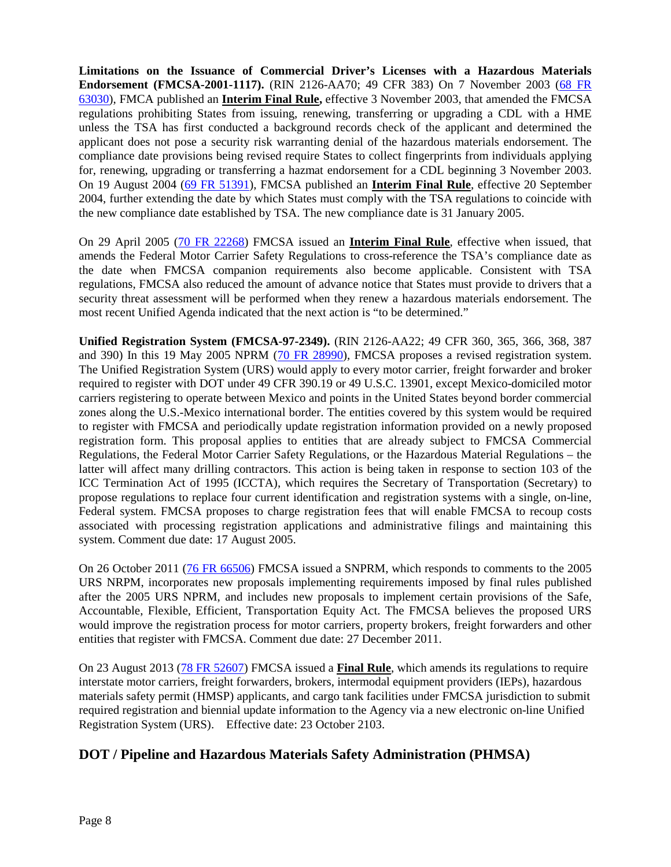**Limitations on the Issuance of Commercial Driver's Licenses with a Hazardous Materials Endorsement (FMCSA-2001-1117).** (RIN 2126-AA70; 49 CFR 383) On 7 November 2003 [\(68 FR](http://a257.g.akamaitech.net/7/257/2422/14mar20010800/edocket.access.gpo.gov/2003/pdf/03-28175.pdf)  [63030\)](http://a257.g.akamaitech.net/7/257/2422/14mar20010800/edocket.access.gpo.gov/2003/pdf/03-28175.pdf), FMCA published an **Interim Final Rule,** effective 3 November 2003, that amended the FMCSA regulations prohibiting States from issuing, renewing, transferring or upgrading a CDL with a HME unless the TSA has first conducted a background records check of the applicant and determined the applicant does not pose a security risk warranting denial of the hazardous materials endorsement. The compliance date provisions being revised require States to collect fingerprints from individuals applying for, renewing, upgrading or transferring a hazmat endorsement for a CDL beginning 3 November 2003. On 19 August 2004 [\(69 FR 51391\)](http://edocket.access.gpo.gov/2004/pdf/04-19004.pdf), FMCSA published an **Interim Final Rule**, effective 20 September 2004, further extending the date by which States must comply with the TSA regulations to coincide with the new compliance date established by TSA. The new compliance date is 31 January 2005.

On 29 April 2005 [\(70 FR 22268\)](http://edocket.access.gpo.gov/2005/pdf/05-8572.pdf) FMCSA issued an **Interim Final Rule**, effective when issued, that amends the Federal Motor Carrier Safety Regulations to cross-reference the TSA's compliance date as the date when FMCSA companion requirements also become applicable. Consistent with TSA regulations, FMCSA also reduced the amount of advance notice that States must provide to drivers that a security threat assessment will be performed when they renew a hazardous materials endorsement. The most recent Unified Agenda indicated that the next action is "to be determined."

**Unified Registration System (FMCSA-97-2349).** (RIN 2126-AA22; 49 CFR 360, 365, 366, 368, 387 and 390) In this 19 May 2005 NPRM [\(70 FR 28990\)](http://edocket.access.gpo.gov/2005/pdf/05-9692.pdf), FMCSA proposes a revised registration system. The Unified Registration System (URS) would apply to every motor carrier, freight forwarder and broker required to register with DOT under 49 CFR 390.19 or 49 U.S.C. 13901, except Mexico-domiciled motor carriers registering to operate between Mexico and points in the United States beyond border commercial zones along the U.S.-Mexico international border. The entities covered by this system would be required to register with FMCSA and periodically update registration information provided on a newly proposed registration form. This proposal applies to entities that are already subject to FMCSA Commercial Regulations, the Federal Motor Carrier Safety Regulations, or the Hazardous Material Regulations – the latter will affect many drilling contractors. This action is being taken in response to section 103 of the ICC Termination Act of 1995 (ICCTA), which requires the Secretary of Transportation (Secretary) to propose regulations to replace four current identification and registration systems with a single, on-line, Federal system. FMCSA proposes to charge registration fees that will enable FMCSA to recoup costs associated with processing registration applications and administrative filings and maintaining this system. Comment due date: 17 August 2005.

On 26 October 2011 [\(76 FR 66506\)](http://www.gpo.gov/fdsys/pkg/FR-2011-10-26/pdf/2011-26958.pdf) FMCSA issued a SNPRM, which responds to comments to the 2005 URS NRPM, incorporates new proposals implementing requirements imposed by final rules published after the 2005 URS NPRM, and includes new proposals to implement certain provisions of the Safe, Accountable, Flexible, Efficient, Transportation Equity Act. The FMCSA believes the proposed URS would improve the registration process for motor carriers, property brokers, freight forwarders and other entities that register with FMCSA. Comment due date: 27 December 2011.

On 23 August 2013 [\(78 FR 52607\)](http://www.gpo.gov/fdsys/pkg/FR-2013-08-23/pdf/2013-20446.pdf) FMCSA issued a **Final Rule**, which amends its regulations to require interstate motor carriers, freight forwarders, brokers, intermodal equipment providers (IEPs), hazardous materials safety permit (HMSP) applicants, and cargo tank facilities under FMCSA jurisdiction to submit required registration and biennial update information to the Agency via a new electronic on-line Unified Registration System (URS). Effective date: 23 October 2103.

### **DOT / Pipeline and Hazardous Materials Safety Administration (PHMSA)**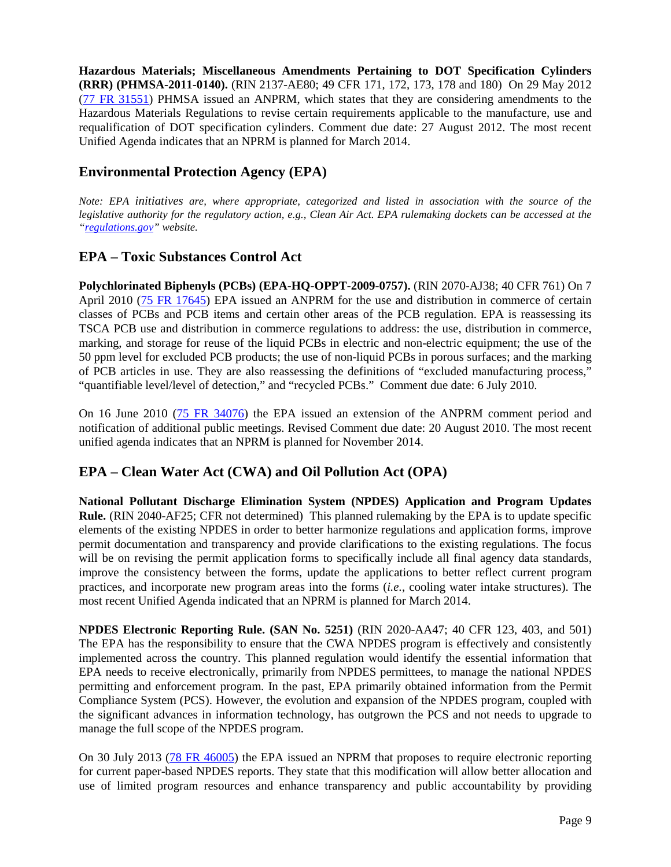**Hazardous Materials; Miscellaneous Amendments Pertaining to DOT Specification Cylinders (RRR) (PHMSA-2011-0140).** (RIN 2137-AE80; 49 CFR 171, 172, 173, 178 and 180) On 29 May 2012 [\(77 FR 31551\)](http://www.gpo.gov/fdsys/pkg/FR-2012-05-29/pdf/2012-12832.pdf) PHMSA issued an ANPRM, which states that they are considering amendments to the Hazardous Materials Regulations to revise certain requirements applicable to the manufacture, use and requalification of DOT specification cylinders. Comment due date: 27 August 2012. The most recent Unified Agenda indicates that an NPRM is planned for March 2014.

#### **Environmental Protection Agency (EPA)**

*Note: EPA initiatives are, where appropriate, categorized and listed in association with the source of the legislative authority for the regulatory action, e.g., Clean Air Act. EPA rulemaking dockets can be accessed at the ["regulations.gov"](http://www.regulations.gov/fdmspublic/component/main) website.*

#### **EPA – Toxic Substances Control Act**

**Polychlorinated Biphenyls (PCBs) (EPA-HQ-OPPT-2009-0757).** (RIN 2070-AJ38; 40 CFR 761) On 7 April 2010 [\(75 FR 17645\)](http://edocket.access.gpo.gov/2010/pdf/2010-7751.pdf) EPA issued an ANPRM for the use and distribution in commerce of certain classes of PCBs and PCB items and certain other areas of the PCB regulation. EPA is reassessing its TSCA PCB use and distribution in commerce regulations to address: the use, distribution in commerce, marking, and storage for reuse of the liquid PCBs in electric and non-electric equipment; the use of the 50 ppm level for excluded PCB products; the use of non-liquid PCBs in porous surfaces; and the marking of PCB articles in use. They are also reassessing the definitions of "excluded manufacturing process," "quantifiable level/level of detection," and "recycled PCBs." Comment due date: 6 July 2010.

On 16 June 2010 [\(75 FR 34076\)](http://edocket.access.gpo.gov/2010/pdf/2010-14522.pdf) the EPA issued an extension of the ANPRM comment period and notification of additional public meetings. Revised Comment due date: 20 August 2010. The most recent unified agenda indicates that an NPRM is planned for November 2014.

### **EPA – Clean Water Act (CWA) and Oil Pollution Act (OPA)**

**National Pollutant Discharge Elimination System (NPDES) Application and Program Updates Rule.** (RIN 2040-AF25; CFR not determined) This planned rulemaking by the EPA is to update specific elements of the existing NPDES in order to better harmonize regulations and application forms, improve permit documentation and transparency and provide clarifications to the existing regulations. The focus will be on revising the permit application forms to specifically include all final agency data standards, improve the consistency between the forms, update the applications to better reflect current program practices, and incorporate new program areas into the forms (*i.e.*, cooling water intake structures). The most recent Unified Agenda indicated that an NPRM is planned for March 2014.

**NPDES Electronic Reporting Rule. (SAN No. 5251)** (RIN 2020-AA47; 40 CFR 123, 403, and 501) The EPA has the responsibility to ensure that the CWA NPDES program is effectively and consistently implemented across the country. This planned regulation would identify the essential information that EPA needs to receive electronically, primarily from NPDES permittees, to manage the national NPDES permitting and enforcement program. In the past, EPA primarily obtained information from the Permit Compliance System (PCS). However, the evolution and expansion of the NPDES program, coupled with the significant advances in information technology, has outgrown the PCS and not needs to upgrade to manage the full scope of the NPDES program.

On 30 July 2013 [\(78 FR 46005\)](http://www.gpo.gov/fdsys/pkg/FR-2013-07-30/pdf/2013-17551.pdf) the EPA issued an NPRM that proposes to require electronic reporting for current paper-based NPDES reports. They state that this modification will allow better allocation and use of limited program resources and enhance transparency and public accountability by providing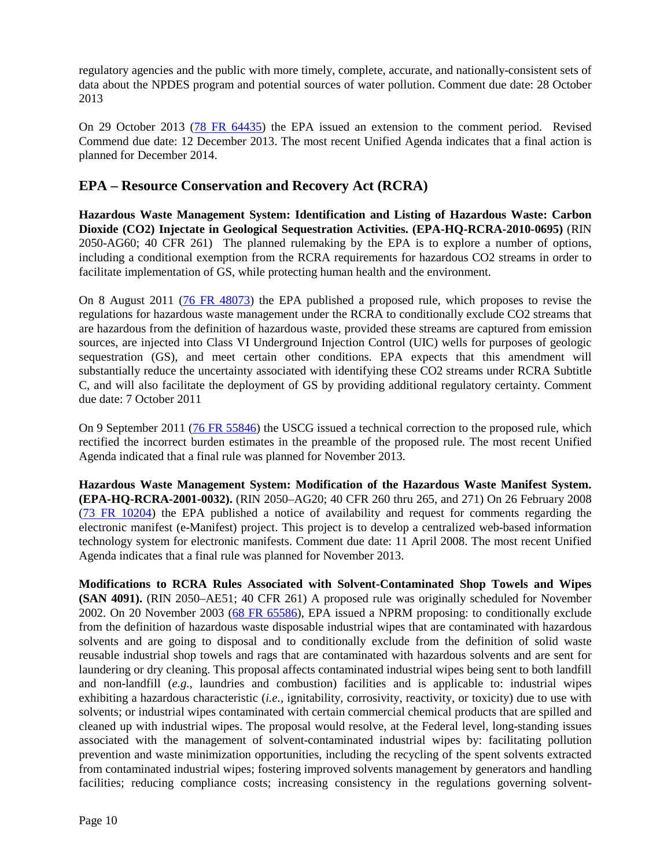regulatory agencies and the public with more timely, complete, accurate, and nationally-consistent sets of data about the NPDES program and potential sources of water pollution. Comment due date: 28 October 2013

On 29 October 2013 [\(78 FR 64435\)](http://www.gpo.gov/fdsys/pkg/FR-2013-10-29/html/2013-25577.htm) the EPA issued an extension to the comment period. Revised Commend due date: 12 December 2013. The most recent Unified Agenda indicates that a final action is planned for December 2014.

#### **EPA – Resource Conservation and Recovery Act (RCRA)**

**Hazardous Waste Management System: Identification and Listing of Hazardous Waste: Carbon Dioxide (CO2) Injectate in Geological Sequestration Activities. (EPA-HQ-RCRA-2010-0695)** (RIN 2050-AG60; 40 CFR 261) The planned rulemaking by the EPA is to explore a number of options, including a conditional exemption from the RCRA requirements for hazardous CO2 streams in order to facilitate implementation of GS, while protecting human health and the environment.

On 8 August 2011 [\(76 FR 48073\)](http://www.gpo.gov/fdsys/pkg/FR-2011-08-08/pdf/2011-19915.pdf) the EPA published a proposed rule, which proposes to revise the regulations for hazardous waste management under the RCRA to conditionally exclude CO2 streams that are hazardous from the definition of hazardous waste, provided these streams are captured from emission sources, are injected into Class VI Underground Injection Control (UIC) wells for purposes of geologic sequestration (GS), and meet certain other conditions. EPA expects that this amendment will substantially reduce the uncertainty associated with identifying these CO2 streams under RCRA Subtitle C, and will also facilitate the deployment of GS by providing additional regulatory certainty. Comment due date: 7 October 2011

On 9 September 2011 [\(76 FR 55846\)](http://www.gpo.gov/fdsys/pkg/FR-2011-09-09/pdf/2011-23156.pdf) the USCG issued a technical correction to the proposed rule, which rectified the incorrect burden estimates in the preamble of the proposed rule. The most recent Unified Agenda indicated that a final rule was planned for November 2013.

**Hazardous Waste Management System: Modification of the Hazardous Waste Manifest System. (EPA-HQ-RCRA-2001-0032).** (RIN 2050–AG20; 40 CFR 260 thru 265, and 271) On 26 February 2008 [\(73 FR 10204\)](http://edocket.access.gpo.gov/2008/pdf/E8-3615.pdf) the EPA published a notice of availability and request for comments regarding the electronic manifest (e-Manifest) project. This project is to develop a centralized web-based information technology system for electronic manifests. Comment due date: 11 April 2008. The most recent Unified Agenda indicates that a final rule was planned for November 2013.

**Modifications to RCRA Rules Associated with Solvent-Contaminated Shop Towels and Wipes (SAN 4091).** (RIN 2050–AE51; 40 CFR 261) A proposed rule was originally scheduled for November 2002. On 20 November 2003 [\(68 FR 65586\)](http://edocket.access.gpo.gov/2003/pdf/03-28652.pdf), EPA issued a NPRM proposing: to conditionally exclude from the definition of hazardous waste disposable industrial wipes that are contaminated with hazardous solvents and are going to disposal and to conditionally exclude from the definition of solid waste reusable industrial shop towels and rags that are contaminated with hazardous solvents and are sent for laundering or dry cleaning. This proposal affects contaminated industrial wipes being sent to both landfill and non-landfill (*e.g.*, laundries and combustion) facilities and is applicable to: industrial wipes exhibiting a hazardous characteristic (*i.e.*, ignitability, corrosivity, reactivity, or toxicity) due to use with solvents; or industrial wipes contaminated with certain commercial chemical products that are spilled and cleaned up with industrial wipes. The proposal would resolve, at the Federal level, long-standing issues associated with the management of solvent-contaminated industrial wipes by: facilitating pollution prevention and waste minimization opportunities, including the recycling of the spent solvents extracted from contaminated industrial wipes; fostering improved solvents management by generators and handling facilities; reducing compliance costs; increasing consistency in the regulations governing solvent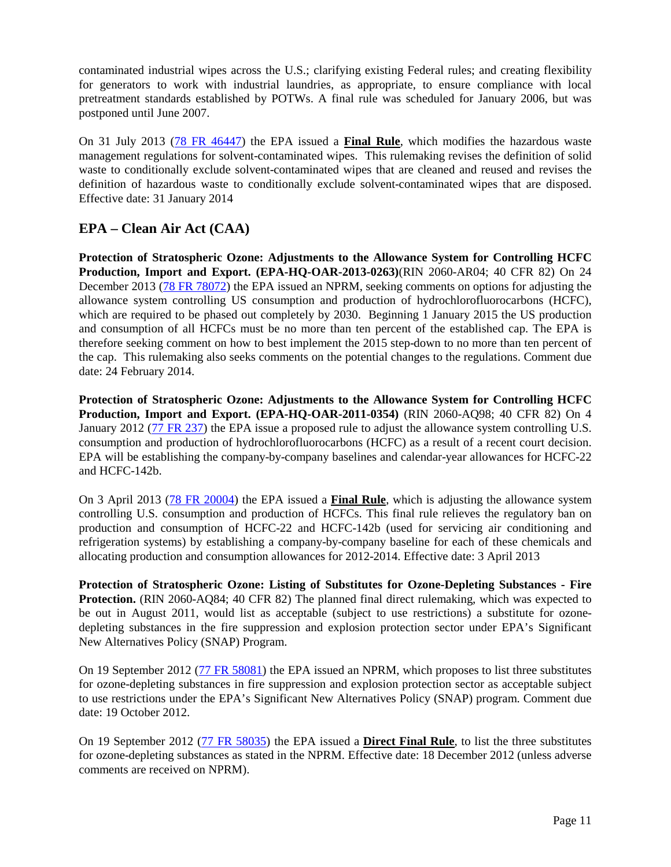contaminated industrial wipes across the U.S.; clarifying existing Federal rules; and creating flexibility for generators to work with industrial laundries, as appropriate, to ensure compliance with local pretreatment standards established by POTWs. A final rule was scheduled for January 2006, but was postponed until June 2007.

On 31 July 2013 [\(78 FR 46447\)](http://www.gpo.gov/fdsys/pkg/FR-2013-07-31/pdf/2013-18285.pdf) the EPA issued a **Final Rule**, which modifies the hazardous waste management regulations for solvent-contaminated wipes. This rulemaking revises the definition of solid waste to conditionally exclude solvent-contaminated wipes that are cleaned and reused and revises the definition of hazardous waste to conditionally exclude solvent-contaminated wipes that are disposed. Effective date: 31 January 2014

### **EPA – Clean Air Act (CAA)**

**Protection of Stratospheric Ozone: Adjustments to the Allowance System for Controlling HCFC Production, Import and Export. (EPA-HQ-OAR-2013-0263)**(RIN 2060-AR04; 40 CFR 82) On 24 December 2013 [\(78 FR 78072\)](http://www.gpo.gov/fdsys/pkg/FR-2013-12-24/pdf/2013-29817.pdf) the EPA issued an NPRM, seeking comments on options for adjusting the allowance system controlling US consumption and production of hydrochlorofluorocarbons (HCFC), which are required to be phased out completely by 2030. Beginning 1 January 2015 the US production and consumption of all HCFCs must be no more than ten percent of the established cap. The EPA is therefore seeking comment on how to best implement the 2015 step-down to no more than ten percent of the cap. This rulemaking also seeks comments on the potential changes to the regulations. Comment due date: 24 February 2014.

**Protection of Stratospheric Ozone: Adjustments to the Allowance System for Controlling HCFC Production, Import and Export. (EPA-HQ-OAR-2011-0354)** (RIN 2060-AQ98; 40 CFR 82) On 4 January 2012 [\(77 FR 237\)](http://www.gpo.gov/fdsys/pkg/FR-2012-01-04/pdf/2011-33456.pdf) the EPA issue a proposed rule to adjust the allowance system controlling U.S. consumption and production of hydrochlorofluorocarbons (HCFC) as a result of a recent court decision. EPA will be establishing the company-by-company baselines and calendar-year allowances for HCFC-22 and HCFC-142b.

On 3 April 2013 [\(78 FR 20004\)](http://www.gpo.gov/fdsys/pkg/FR-2013-04-03/pdf/2013-07758.pdf) the EPA issued a **Final Rule**, which is adjusting the allowance system controlling U.S. consumption and production of HCFCs. This final rule relieves the regulatory ban on production and consumption of HCFC-22 and HCFC-142b (used for servicing air conditioning and refrigeration systems) by establishing a company-by-company baseline for each of these chemicals and allocating production and consumption allowances for 2012-2014. Effective date: 3 April 2013

**Protection of Stratospheric Ozone: Listing of Substitutes for Ozone-Depleting Substances - Fire Protection.** (RIN 2060-AQ84; 40 CFR 82) The planned final direct rulemaking, which was expected to be out in August 2011, would list as acceptable (subject to use restrictions) a substitute for ozonedepleting substances in the fire suppression and explosion protection sector under EPA's Significant New Alternatives Policy (SNAP) Program.

On 19 September 2012 [\(77 FR 58081\)](http://www.gpo.gov/fdsys/pkg/FR-2012-09-19/pdf/2012-23136.pdf) the EPA issued an NPRM, which proposes to list three substitutes for ozone-depleting substances in fire suppression and explosion protection sector as acceptable subject to use restrictions under the EPA's Significant New Alternatives Policy (SNAP) program. Comment due date: 19 October 2012.

On 19 September 2012 [\(77 FR 58035\)](http://www.gpo.gov/fdsys/pkg/FR-2012-09-19/pdf/2012-23138.pdf) the EPA issued a **Direct Final Rule**, to list the three substitutes for ozone-depleting substances as stated in the NPRM. Effective date: 18 December 2012 (unless adverse comments are received on NPRM).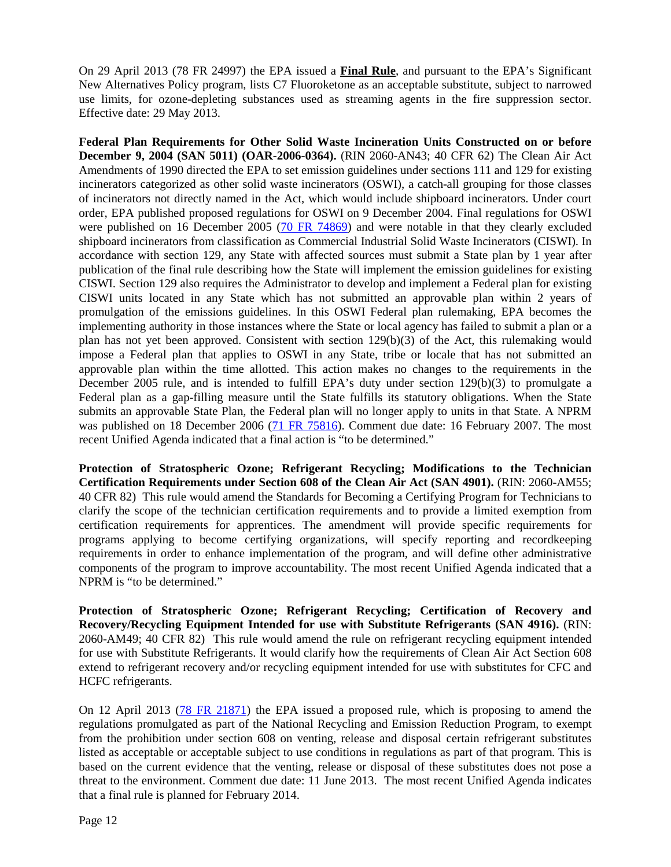On 29 April 2013 (78 FR 24997) the EPA issued a **Final Rule**, and pursuant to the EPA's Significant New Alternatives Policy program, lists C7 Fluoroketone as an acceptable substitute, subject to narrowed use limits, for ozone-depleting substances used as streaming agents in the fire suppression sector. Effective date: 29 May 2013.

**Federal Plan Requirements for Other Solid Waste Incineration Units Constructed on or before December 9, 2004 (SAN 5011) (OAR-2006-0364).** (RIN 2060-AN43; 40 CFR 62) The Clean Air Act Amendments of 1990 directed the EPA to set emission guidelines under sections 111 and 129 for existing incinerators categorized as other solid waste incinerators (OSWI), a catch-all grouping for those classes of incinerators not directly named in the Act, which would include shipboard incinerators. Under court order, EPA published proposed regulations for OSWI on 9 December 2004. Final regulations for OSWI were published on 16 December 2005 [\(70 FR 74869\)](http://edocket.access.gpo.gov/2005/pdf/05-23716.pdf) and were notable in that they clearly excluded shipboard incinerators from classification as Commercial Industrial Solid Waste Incinerators (CISWI). In accordance with section 129, any State with affected sources must submit a State plan by 1 year after publication of the final rule describing how the State will implement the emission guidelines for existing CISWI. Section 129 also requires the Administrator to develop and implement a Federal plan for existing CISWI units located in any State which has not submitted an approvable plan within 2 years of promulgation of the emissions guidelines. In this OSWI Federal plan rulemaking, EPA becomes the implementing authority in those instances where the State or local agency has failed to submit a plan or a plan has not yet been approved. Consistent with section 129(b)(3) of the Act, this rulemaking would impose a Federal plan that applies to OSWI in any State, tribe or locale that has not submitted an approvable plan within the time allotted. This action makes no changes to the requirements in the December 2005 rule, and is intended to fulfill EPA's duty under section 129(b)(3) to promulgate a Federal plan as a gap-filling measure until the State fulfills its statutory obligations. When the State submits an approvable State Plan, the Federal plan will no longer apply to units in that State. A NPRM was published on 18 December 2006 (71 [FR 75816\)](http://edocket.access.gpo.gov/2006/pdf/E6-21285.pdf). Comment due date: 16 February 2007. The most recent Unified Agenda indicated that a final action is "to be determined."

**Protection of Stratospheric Ozone; Refrigerant Recycling; Modifications to the Technician Certification Requirements under Section 608 of the Clean Air Act (SAN 4901).** (RIN: 2060-AM55; 40 CFR 82) This rule would amend the Standards for Becoming a Certifying Program for Technicians to clarify the scope of the technician certification requirements and to provide a limited exemption from certification requirements for apprentices. The amendment will provide specific requirements for programs applying to become certifying organizations, will specify reporting and recordkeeping requirements in order to enhance implementation of the program, and will define other administrative components of the program to improve accountability. The most recent Unified Agenda indicated that a NPRM is "to be determined."

**Protection of Stratospheric Ozone; Refrigerant Recycling; Certification of Recovery and Recovery/Recycling Equipment Intended for use with Substitute Refrigerants (SAN 4916).** (RIN: 2060-AM49; 40 CFR 82) This rule would amend the rule on refrigerant recycling equipment intended for use with Substitute Refrigerants. It would clarify how the requirements of Clean Air Act Section 608 extend to refrigerant recovery and/or recycling equipment intended for use with substitutes for CFC and HCFC refrigerants.

On 12 April 2013 [\(78 FR 21871\)](http://www.gpo.gov/fdsys/pkg/FR-2013-04-12/pdf/2013-08667.pdf) the EPA issued a proposed rule, which is proposing to amend the regulations promulgated as part of the National Recycling and Emission Reduction Program, to exempt from the prohibition under section 608 on venting, release and disposal certain refrigerant substitutes listed as acceptable or acceptable subject to use conditions in regulations as part of that program. This is based on the current evidence that the venting, release or disposal of these substitutes does not pose a threat to the environment. Comment due date: 11 June 2013. The most recent Unified Agenda indicates that a final rule is planned for February 2014.